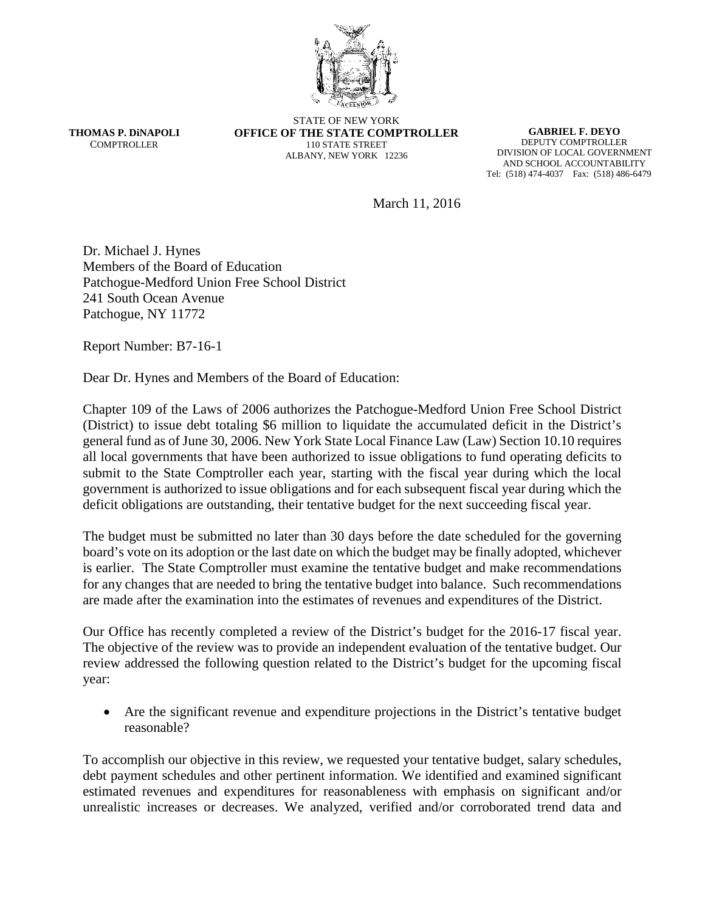

**THOMAS P. DiNAPOLI COMPTROLLER** 

STATE OF NEW YORK **OFFICE OF THE STATE COMPTROLLER** 110 STATE STREET ALBANY, NEW YORK 12236

**GABRIEL F. DEYO** DEPUTY COMPTROLLER DIVISION OF LOCAL GOVERNMENT AND SCHOOL ACCOUNTABILITY Tel: (518) 474-4037 Fax: (518) 486-6479

March 11, 2016

Dr. Michael J. Hynes Members of the Board of Education Patchogue-Medford Union Free School District 241 South Ocean Avenue Patchogue, NY 11772

Report Number: B7-16-1

Dear Dr. Hynes and Members of the Board of Education:

Chapter 109 of the Laws of 2006 authorizes the Patchogue-Medford Union Free School District (District) to issue debt totaling \$6 million to liquidate the accumulated deficit in the District's general fund as of June 30, 2006. New York State Local Finance Law (Law) Section 10.10 requires all local governments that have been authorized to issue obligations to fund operating deficits to submit to the State Comptroller each year, starting with the fiscal year during which the local government is authorized to issue obligations and for each subsequent fiscal year during which the deficit obligations are outstanding, their tentative budget for the next succeeding fiscal year.

The budget must be submitted no later than 30 days before the date scheduled for the governing board's vote on its adoption or the last date on which the budget may be finally adopted, whichever is earlier. The State Comptroller must examine the tentative budget and make recommendations for any changes that are needed to bring the tentative budget into balance. Such recommendations are made after the examination into the estimates of revenues and expenditures of the District.

Our Office has recently completed a review of the District's budget for the 2016-17 fiscal year. The objective of the review was to provide an independent evaluation of the tentative budget. Our review addressed the following question related to the District's budget for the upcoming fiscal year:

• Are the significant revenue and expenditure projections in the District's tentative budget reasonable?

To accomplish our objective in this review, we requested your tentative budget, salary schedules, debt payment schedules and other pertinent information. We identified and examined significant estimated revenues and expenditures for reasonableness with emphasis on significant and/or unrealistic increases or decreases. We analyzed, verified and/or corroborated trend data and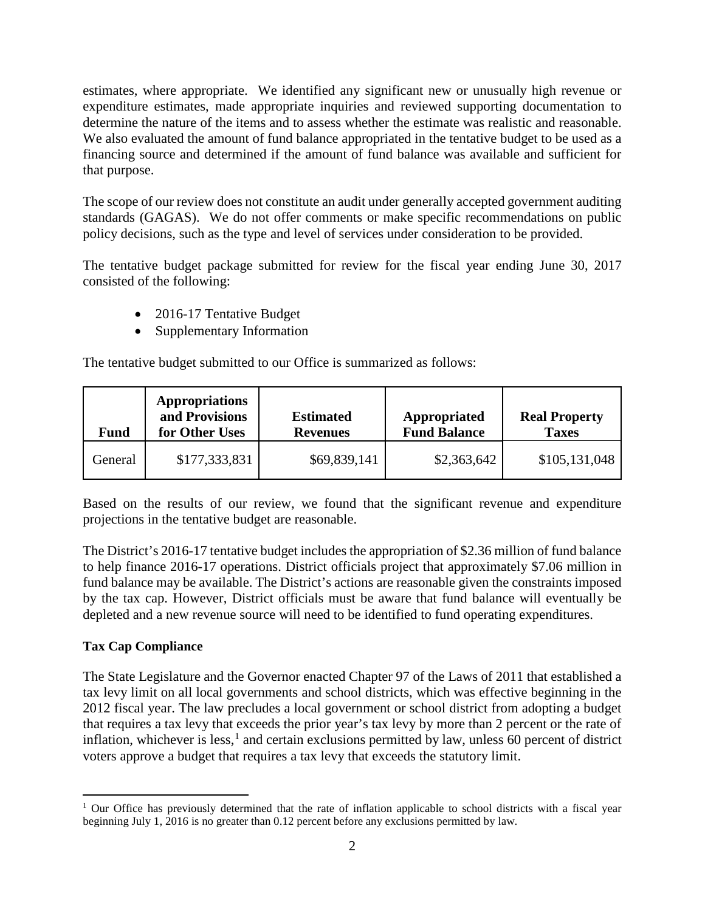estimates, where appropriate. We identified any significant new or unusually high revenue or expenditure estimates, made appropriate inquiries and reviewed supporting documentation to determine the nature of the items and to assess whether the estimate was realistic and reasonable. We also evaluated the amount of fund balance appropriated in the tentative budget to be used as a financing source and determined if the amount of fund balance was available and sufficient for that purpose.

The scope of our review does not constitute an audit under generally accepted government auditing standards (GAGAS). We do not offer comments or make specific recommendations on public policy decisions, such as the type and level of services under consideration to be provided.

The tentative budget package submitted for review for the fiscal year ending June 30, 2017 consisted of the following:

- 2016-17 Tentative Budget
- Supplementary Information

The tentative budget submitted to our Office is summarized as follows:

| <b>Fund</b> | <b>Appropriations</b><br>and Provisions<br>for Other Uses | <b>Estimated</b><br><b>Revenues</b> | Appropriated<br><b>Fund Balance</b> | <b>Real Property</b><br><b>Taxes</b> |
|-------------|-----------------------------------------------------------|-------------------------------------|-------------------------------------|--------------------------------------|
| General     | \$177,333,831                                             | \$69,839,141                        | \$2,363,642                         | \$105,131,048                        |

Based on the results of our review, we found that the significant revenue and expenditure projections in the tentative budget are reasonable.

The District's 2016-17 tentative budget includes the appropriation of \$2.36 million of fund balance to help finance 2016-17 operations. District officials project that approximately \$7.06 million in fund balance may be available. The District's actions are reasonable given the constraints imposed by the tax cap. However, District officials must be aware that fund balance will eventually be depleted and a new revenue source will need to be identified to fund operating expenditures.

## **Tax Cap Compliance**

The State Legislature and the Governor enacted Chapter 97 of the Laws of 2011 that established a tax levy limit on all local governments and school districts, which was effective beginning in the 2012 fiscal year. The law precludes a local government or school district from adopting a budget that requires a tax levy that exceeds the prior year's tax levy by more than 2 percent or the rate of inflation, whichever is less, [1](#page-1-0) and certain exclusions permitted by law, unless 60 percent of district voters approve a budget that requires a tax levy that exceeds the statutory limit.

<span id="page-1-0"></span><sup>&</sup>lt;sup>1</sup> Our Office has previously determined that the rate of inflation applicable to school districts with a fiscal year beginning July 1, 2016 is no greater than 0.12 percent before any exclusions permitted by law.  $\overline{a}$